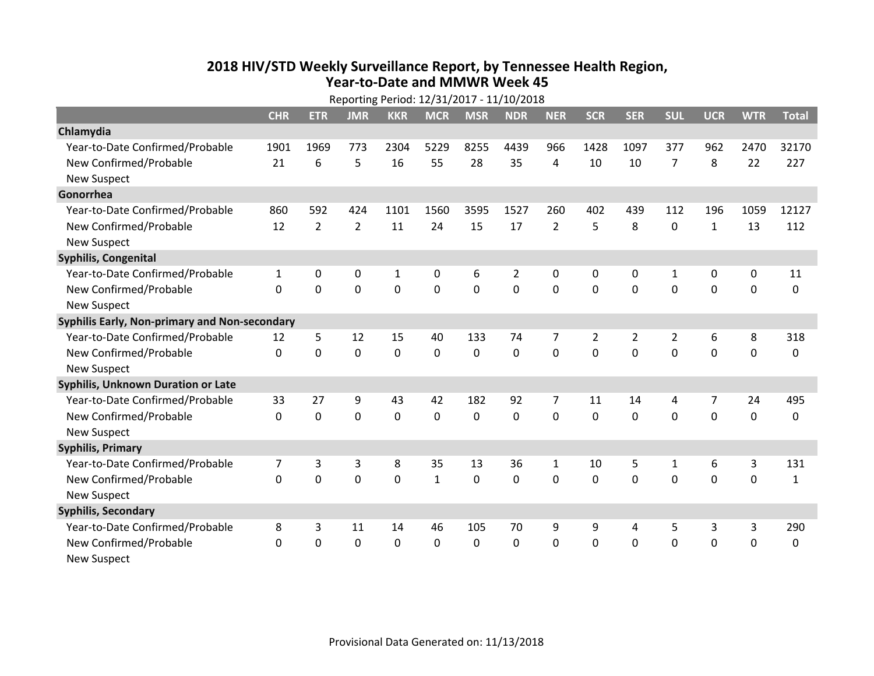## **2018 HIV /STD Weekl y Surveillance Report, b y Tennessee Health Region, Year‐to‐Date and MMWR Week 45**

|                                               | Reporting Period: 12/31/2017 - 11/10/2018 |                |                |             |                |                |                |                |                |                |                |                |             |              |
|-----------------------------------------------|-------------------------------------------|----------------|----------------|-------------|----------------|----------------|----------------|----------------|----------------|----------------|----------------|----------------|-------------|--------------|
|                                               | <b>CHR</b>                                | <b>ETR</b>     | <b>JMR</b>     | <b>KKR</b>  | <b>MCR</b>     | <b>MSR</b>     | <b>NDR</b>     | <b>NER</b>     | <b>SCR</b>     | <b>SER</b>     | <b>SUL</b>     | <b>UCR</b>     | <b>WTR</b>  | <b>Total</b> |
| Chlamydia                                     |                                           |                |                |             |                |                |                |                |                |                |                |                |             |              |
| Year-to-Date Confirmed/Probable               | 1901                                      | 1969           | 773            | 2304        | 5229           | 8255           | 4439           | 966            | 1428           | 1097           | 377            | 962            | 2470        | 32170        |
| New Confirmed/Probable                        | 21                                        | 6              | 5              | 16          | 55             | 28             | 35             | 4              | 10             | 10             | $\overline{7}$ | 8              | 22          | 227          |
| <b>New Suspect</b>                            |                                           |                |                |             |                |                |                |                |                |                |                |                |             |              |
| Gonorrhea                                     |                                           |                |                |             |                |                |                |                |                |                |                |                |             |              |
| Year-to-Date Confirmed/Probable               | 860                                       | 592            | 424            | 1101        | 1560           | 3595           | 1527           | 260            | 402            | 439            | 112            | 196            | 1059        | 12127        |
| New Confirmed/Probable                        | 12                                        | $\overline{2}$ | $\overline{2}$ | 11          | 24             | 15             | 17             | $\overline{2}$ | 5              | 8              | $\mathbf 0$    | $\mathbf{1}$   | 13          | 112          |
| <b>New Suspect</b>                            |                                           |                |                |             |                |                |                |                |                |                |                |                |             |              |
| Syphilis, Congenital                          |                                           |                |                |             |                |                |                |                |                |                |                |                |             |              |
| Year-to-Date Confirmed/Probable               | $\mathbf{1}$                              | 0              | 0              | 1           | 0              | 6              | 2              | 0              | 0              | 0              | 1              | 0              | 0           | 11           |
| New Confirmed/Probable                        | $\Omega$                                  | $\mathbf 0$    | $\mathbf 0$    | $\mathbf 0$ | $\overline{0}$ | $\overline{0}$ | $\overline{0}$ | 0              | $\overline{0}$ | $\mathbf 0$    | $\mathbf 0$    | $\mathbf 0$    | $\mathbf 0$ | $\Omega$     |
| <b>New Suspect</b>                            |                                           |                |                |             |                |                |                |                |                |                |                |                |             |              |
| Syphilis Early, Non-primary and Non-secondary |                                           |                |                |             |                |                |                |                |                |                |                |                |             |              |
| Year-to-Date Confirmed/Probable               | 12                                        | 5              | 12             | 15          | 40             | 133            | 74             | 7              | $\overline{2}$ | $\overline{2}$ | $\overline{2}$ | 6              | 8           | 318          |
| New Confirmed/Probable                        | $\mathbf{0}$                              | $\mathbf 0$    | $\mathbf 0$    | 0           | $\mathbf 0$    | $\mathbf 0$    | $\overline{0}$ | 0              | $\Omega$       | $\overline{0}$ | $\Omega$       | $\overline{0}$ | $\mathbf 0$ | 0            |
| <b>New Suspect</b>                            |                                           |                |                |             |                |                |                |                |                |                |                |                |             |              |
| <b>Syphilis, Unknown Duration or Late</b>     |                                           |                |                |             |                |                |                |                |                |                |                |                |             |              |
| Year-to-Date Confirmed/Probable               | 33                                        | 27             | 9              | 43          | 42             | 182            | 92             | 7              | 11             | 14             | 4              | 7              | 24          | 495          |
| New Confirmed/Probable                        | $\Omega$                                  | $\mathbf 0$    | $\mathbf 0$    | $\mathbf 0$ | $\mathbf 0$    | $\Omega$       | $\mathbf 0$    | $\Omega$       | $\Omega$       | $\Omega$       | $\Omega$       | 0              | $\mathbf 0$ | $\Omega$     |
| <b>New Suspect</b>                            |                                           |                |                |             |                |                |                |                |                |                |                |                |             |              |
| <b>Syphilis, Primary</b>                      |                                           |                |                |             |                |                |                |                |                |                |                |                |             |              |
| Year-to-Date Confirmed/Probable               | 7                                         | 3              | 3              | 8           | 35             | 13             | 36             | $\mathbf{1}$   | 10             | 5              | $\mathbf{1}$   | 6              | 3           | 131          |
| New Confirmed/Probable                        | $\Omega$                                  | $\mathbf 0$    | $\mathbf 0$    | $\mathbf 0$ | $\mathbf{1}$   | 0              | $\mathbf 0$    | 0              | $\mathbf 0$    | $\mathbf 0$    | $\mathbf 0$    | 0              | 0           | 1            |
| <b>New Suspect</b>                            |                                           |                |                |             |                |                |                |                |                |                |                |                |             |              |
| <b>Syphilis, Secondary</b>                    |                                           |                |                |             |                |                |                |                |                |                |                |                |             |              |
| Year-to-Date Confirmed/Probable               | 8                                         | 3              | 11             | 14          | 46             | 105            | 70             | 9              | 9              | 4              | 5              | 3              | 3           | 290          |
| New Confirmed/Probable                        | 0                                         | 0              | $\mathbf 0$    | $\mathbf 0$ | 0              | 0              | $\mathbf 0$    | 0              | 0              | 0              | 0              | 0              | $\mathbf 0$ | 0            |
| <b>New Suspect</b>                            |                                           |                |                |             |                |                |                |                |                |                |                |                |             |              |